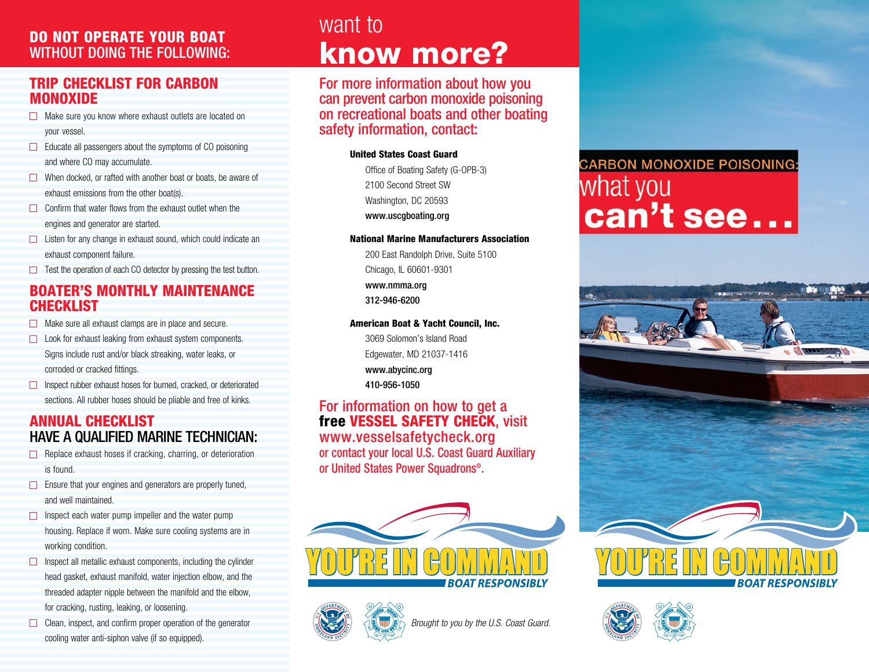# WITHOUT DOING THE FOLLOWING:

### Trip Checklist for CArbon **MONOXIDE**

- Make sure you know where exhaust outlets are located on your vessel.
- $\Box$  Educate all passengers about the symptoms of CO poisoning and where CO may accumulate.
- $\Box$  When docked, or rafted with another boat or boats, be aware of exhaust emissions from the other boat(s).
- $\Box$  Confirm that water flows from the exhaust outlet when the engines and generator are started.
- □ Listen for any change in exhaust sound, which could indicate an exhaust component failure.
- $\Box$  Test the operation of each CO detector by pressing the test button.

### Boater's Monthly Maintenance **CHECKLIST**

- $\Box$  Make sure all exhaust clamps are in place and secure.
- $\Box$  Look for exhaust leaking from exhaust system components. Signs include rust and/or black streaking, water leaks, or corroded or cracked fittings.
- □ Inspect rubber exhaust hoses for burned, cracked, or deteriorated sections. All rubber hoses should be pliable and free of kinks.

### Annual checklist have a qualified marine technician:

- Replace exhaust hoses if cracking, charring, or deterioration is found.
- $\Box$  Ensure that your engines and generators are properly tuned, and well maintained.
- $\Box$  Inspect each water pump impeller and the water pump housing. Replace if worn. Make sure cooling systems are in working condition.
- $\Box$  Inspect all metallic exhaust components, including the cylinder head gasket, exhaust manifold, water injection elbow, and the threaded adapter nipple between the manifold and the elbow, for cracking, rusting, leaking, or loosening.
- $\Box$  Clean, inspect, and confirm proper operation of the generator cooling water anti-siphon valve (if so equipped).

## want to **DO NOT OPERATE YOUR BOAT<br>WITHOUT DOING THE FOLLOWING: Reformance**

For more information about how you can prevent carbon monoxide poisoning on recreational boats and other boating safety information, contact:

#### United States Coast Guard

Office of Boating Safety (G-OPB-3) 2100 Second Street SW Washington, DC 20593 www.uscgboating.org

#### National Marine Manufacturers Association

200 East Randolph Drive, Suite 5100 Chicago, IL 60601-9301 www.nmma.org 312-946-6200

#### American Boat & Yacht Council, Inc.

3069 Solomon's Island Road Edgewater, MD 21037-1416 www.abycinc.org 410-956-1050

### For information on how to get a free VESSEL SAFETY CHECK, visit www.vesselsafetycheck.org or contact your local U.S. Coast Guard Auxiliary or United States Power Squadrons®.





*Brought to you by the U.S. Coast Guard.* 

### **CARBON MONOXIDE POISONING:** what you can't see...